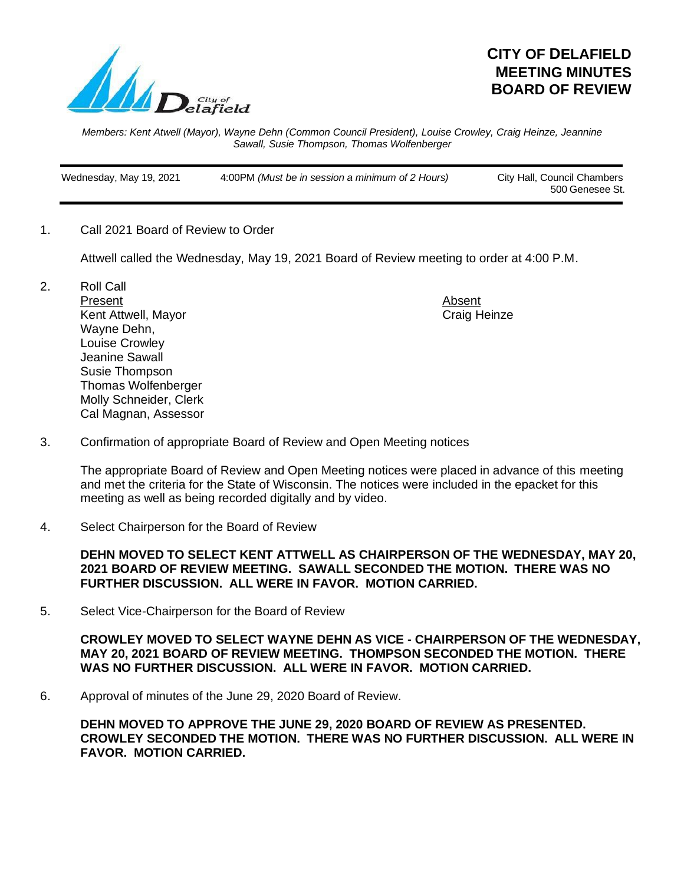

## **CITY OF DELAFIELD MEETING MINUTES BOARD OF REVIEW**

*Members: Kent Atwell (Mayor), Wayne Dehn (Common Council President), Louise Crowley, Craig Heinze, Jeannine Sawall, Susie Thompson, Thomas Wolfenberger*

 Wednesday, May 19, 2021 4:00PM *(Must be in session a minimum of 2 Hours)* City Hall, Council Chambers 500 Genesee St.

1. Call 2021 Board of Review to Order

Attwell called the Wednesday, May 19, 2021 Board of Review meeting to order at 4:00 P.M.

2. Roll Call Present Absent Kent Attwell, Mayor Craig Heinze Wayne Dehn, Louise Crowley Jeanine Sawall Susie Thompson Thomas Wolfenberger Molly Schneider, Clerk Cal Magnan, Assessor

3. Confirmation of appropriate Board of Review and Open Meeting notices

The appropriate Board of Review and Open Meeting notices were placed in advance of this meeting and met the criteria for the State of Wisconsin. The notices were included in the epacket for this meeting as well as being recorded digitally and by video.

4. Select Chairperson for the Board of Review

**DEHN MOVED TO SELECT KENT ATTWELL AS CHAIRPERSON OF THE WEDNESDAY, MAY 20, 2021 BOARD OF REVIEW MEETING. SAWALL SECONDED THE MOTION. THERE WAS NO FURTHER DISCUSSION. ALL WERE IN FAVOR. MOTION CARRIED.**

5. Select Vice-Chairperson for the Board of Review

**CROWLEY MOVED TO SELECT WAYNE DEHN AS VICE - CHAIRPERSON OF THE WEDNESDAY, MAY 20, 2021 BOARD OF REVIEW MEETING. THOMPSON SECONDED THE MOTION. THERE WAS NO FURTHER DISCUSSION. ALL WERE IN FAVOR. MOTION CARRIED.**

6. Approval of minutes of the June 29, 2020 Board of Review.

**DEHN MOVED TO APPROVE THE JUNE 29, 2020 BOARD OF REVIEW AS PRESENTED. CROWLEY SECONDED THE MOTION. THERE WAS NO FURTHER DISCUSSION. ALL WERE IN FAVOR. MOTION CARRIED.**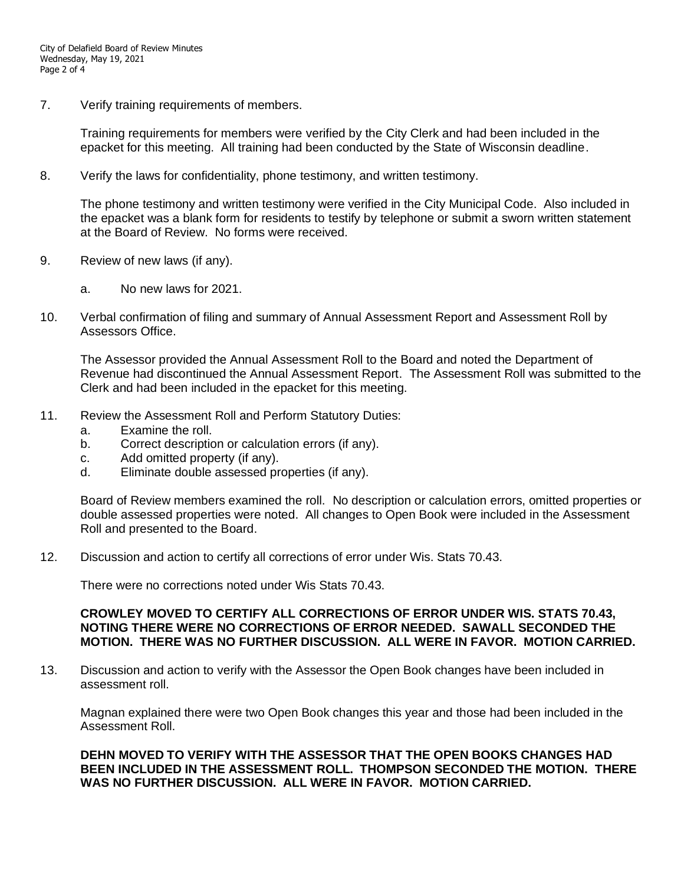7. Verify training requirements of members.

Training requirements for members were verified by the City Clerk and had been included in the epacket for this meeting. All training had been conducted by the State of Wisconsin deadline.

8. Verify the laws for confidentiality, phone testimony, and written testimony.

The phone testimony and written testimony were verified in the City Municipal Code. Also included in the epacket was a blank form for residents to testify by telephone or submit a sworn written statement at the Board of Review. No forms were received.

- 9. Review of new laws (if any).
	- a. No new laws for 2021.
- 10. Verbal confirmation of filing and summary of Annual Assessment Report and Assessment Roll by Assessors Office.

The Assessor provided the Annual Assessment Roll to the Board and noted the Department of Revenue had discontinued the Annual Assessment Report. The Assessment Roll was submitted to the Clerk and had been included in the epacket for this meeting.

- 11. Review the Assessment Roll and Perform Statutory Duties:
	- a. Examine the roll.
	- b. Correct description or calculation errors (if any).
	- c. Add omitted property (if any).
	- d. Eliminate double assessed properties (if any).

Board of Review members examined the roll. No description or calculation errors, omitted properties or double assessed properties were noted. All changes to Open Book were included in the Assessment Roll and presented to the Board.

12. Discussion and action to certify all corrections of error under Wis. Stats 70.43.

There were no corrections noted under Wis Stats 70.43.

## **CROWLEY MOVED TO CERTIFY ALL CORRECTIONS OF ERROR UNDER WIS. STATS 70.43, NOTING THERE WERE NO CORRECTIONS OF ERROR NEEDED. SAWALL SECONDED THE MOTION. THERE WAS NO FURTHER DISCUSSION. ALL WERE IN FAVOR. MOTION CARRIED.**

13. Discussion and action to verify with the Assessor the Open Book changes have been included in assessment roll.

Magnan explained there were two Open Book changes this year and those had been included in the Assessment Roll.

## **DEHN MOVED TO VERIFY WITH THE ASSESSOR THAT THE OPEN BOOKS CHANGES HAD BEEN INCLUDED IN THE ASSESSMENT ROLL. THOMPSON SECONDED THE MOTION. THERE WAS NO FURTHER DISCUSSION. ALL WERE IN FAVOR. MOTION CARRIED.**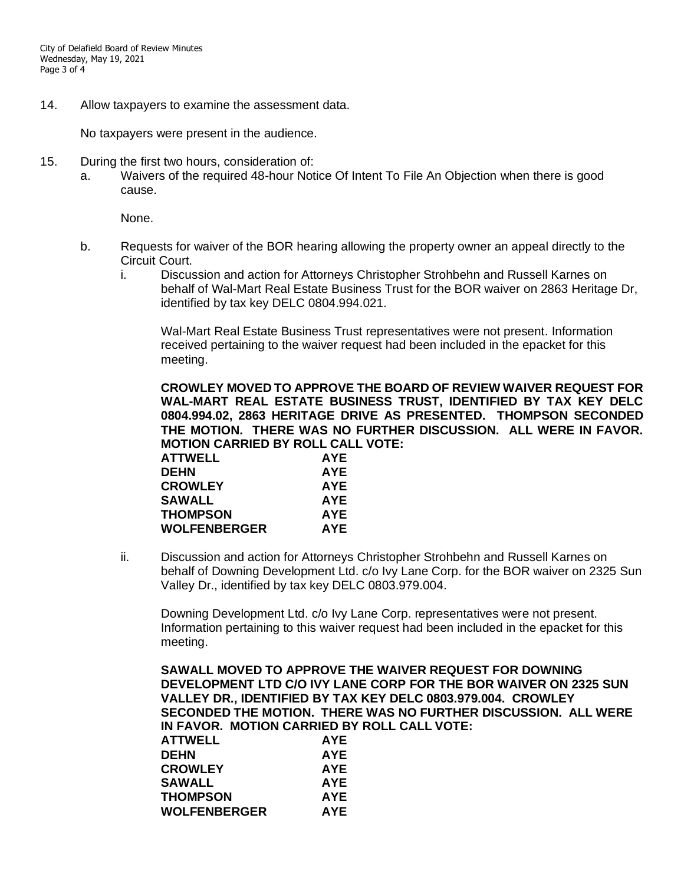14. Allow taxpayers to examine the assessment data.

No taxpayers were present in the audience.

- 15. During the first two hours, consideration of:
	- a. Waivers of the required 48-hour Notice Of Intent To File An Objection when there is good cause.

None.

- b. Requests for waiver of the BOR hearing allowing the property owner an appeal directly to the Circuit Court.
	- i. Discussion and action for Attorneys Christopher Strohbehn and Russell Karnes on behalf of Wal-Mart Real Estate Business Trust for the BOR waiver on 2863 Heritage Dr, identified by tax key DELC 0804.994.021.

Wal-Mart Real Estate Business Trust representatives were not present. Information received pertaining to the waiver request had been included in the epacket for this meeting.

**CROWLEY MOVED TO APPROVE THE BOARD OF REVIEW WAIVER REQUEST FOR WAL-MART REAL ESTATE BUSINESS TRUST, IDENTIFIED BY TAX KEY DELC 0804.994.02, 2863 HERITAGE DRIVE AS PRESENTED. THOMPSON SECONDED THE MOTION. THERE WAS NO FURTHER DISCUSSION. ALL WERE IN FAVOR. MOTION CARRIED BY ROLL CALL VOTE:**

| <b>ATTWELL</b>      | <b>AYE</b> |
|---------------------|------------|
| <b>DEHN</b>         | <b>AYE</b> |
| <b>CROWLEY</b>      | <b>AYE</b> |
| <b>SAWALL</b>       | <b>AYE</b> |
| <b>THOMPSON</b>     | <b>AYE</b> |
| <b>WOLFENBERGER</b> | AYE        |
|                     |            |

ii. Discussion and action for Attorneys Christopher Strohbehn and Russell Karnes on behalf of Downing Development Ltd. c/o Ivy Lane Corp. for the BOR waiver on 2325 Sun Valley Dr., identified by tax key DELC 0803.979.004.

Downing Development Ltd. c/o Ivy Lane Corp. representatives were not present. Information pertaining to this waiver request had been included in the epacket for this meeting.

**SAWALL MOVED TO APPROVE THE WAIVER REQUEST FOR DOWNING DEVELOPMENT LTD C/O IVY LANE CORP FOR THE BOR WAIVER ON 2325 SUN VALLEY DR., IDENTIFIED BY TAX KEY DELC 0803.979.004. CROWLEY SECONDED THE MOTION. THERE WAS NO FURTHER DISCUSSION. ALL WERE IN FAVOR. MOTION CARRIED BY ROLL CALL VOTE:**

| <b>ATTWELL</b>  | <b>AYE</b> |
|-----------------|------------|
| <b>DEHN</b>     | <b>AYE</b> |
| <b>CROWLEY</b>  | <b>AYE</b> |
| SAWALL          | <b>AYE</b> |
| <b>THOMPSON</b> | <b>AYE</b> |
| WOLFENBERGER    | <b>AYE</b> |